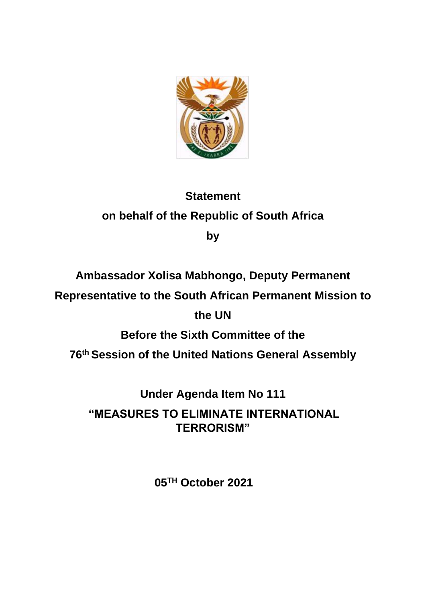

# **Statement on behalf of the Republic of South Africa**

**by**

## **Ambassador Xolisa Mabhongo, Deputy Permanent**

**Representative to the South African Permanent Mission to** 

#### **the UN**

## **Before the Sixth Committee of the**

**76 th Session of the United Nations General Assembly**

**Under Agenda Item No 111**

**"MEASURES TO ELIMINATE INTERNATIONAL TERRORISM"**

**05TH October 2021**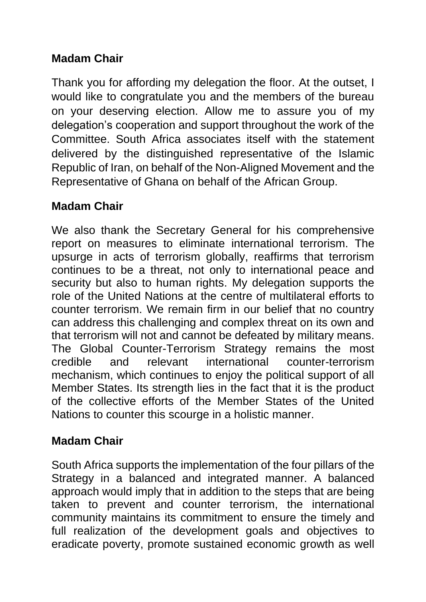#### **Madam Chair**

Thank you for affording my delegation the floor. At the outset, I would like to congratulate you and the members of the bureau on your deserving election. Allow me to assure you of my delegation's cooperation and support throughout the work of the Committee. South Africa associates itself with the statement delivered by the distinguished representative of the Islamic Republic of Iran, on behalf of the Non-Aligned Movement and the Representative of Ghana on behalf of the African Group.

#### **Madam Chair**

We also thank the Secretary General for his comprehensive report on measures to eliminate international terrorism. The upsurge in acts of terrorism globally, reaffirms that terrorism continues to be a threat, not only to international peace and security but also to human rights. My delegation supports the role of the United Nations at the centre of multilateral efforts to counter terrorism. We remain firm in our belief that no country can address this challenging and complex threat on its own and that terrorism will not and cannot be defeated by military means. The Global Counter-Terrorism Strategy remains the most credible and relevant international counter-terrorism mechanism, which continues to enjoy the political support of all Member States. Its strength lies in the fact that it is the product of the collective efforts of the Member States of the United Nations to counter this scourge in a holistic manner.

#### **Madam Chair**

South Africa supports the implementation of the four pillars of the Strategy in a balanced and integrated manner. A balanced approach would imply that in addition to the steps that are being taken to prevent and counter terrorism, the international community maintains its commitment to ensure the timely and full realization of the development goals and objectives to eradicate poverty, promote sustained economic growth as well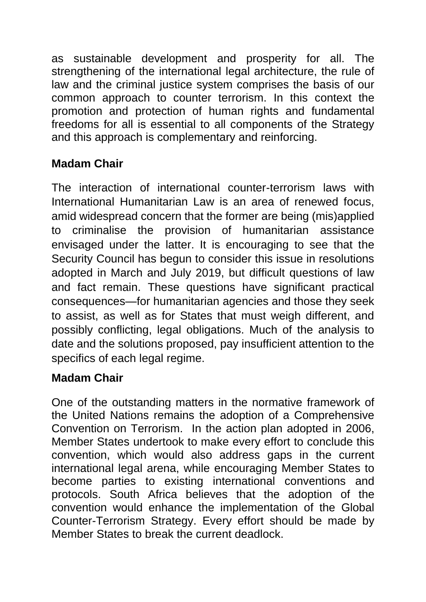as sustainable development and prosperity for all. The strengthening of the international legal architecture, the rule of law and the criminal justice system comprises the basis of our common approach to counter terrorism. In this context the promotion and protection of human rights and fundamental freedoms for all is essential to all components of the Strategy and this approach is complementary and reinforcing.

## **Madam Chair**

The interaction of international counter-terrorism laws with International Humanitarian Law is an area of renewed focus, amid widespread concern that the former are being (mis)applied to criminalise the provision of humanitarian assistance envisaged under the latter. It is encouraging to see that the Security Council has begun to consider this issue in resolutions adopted in March and July 2019, but difficult questions of law and fact remain. These questions have significant practical consequences—for humanitarian agencies and those they seek to assist, as well as for States that must weigh different, and possibly conflicting, legal obligations. Much of the analysis to date and the solutions proposed, pay insufficient attention to the specifics of each legal regime.

## **Madam Chair**

One of the outstanding matters in the normative framework of the United Nations remains the adoption of a Comprehensive Convention on Terrorism. In the action plan adopted in 2006, Member States undertook to make every effort to conclude this convention, which would also address gaps in the current international legal arena, while encouraging Member States to become parties to existing international conventions and protocols. South Africa believes that the adoption of the convention would enhance the implementation of the Global Counter-Terrorism Strategy. Every effort should be made by Member States to break the current deadlock.